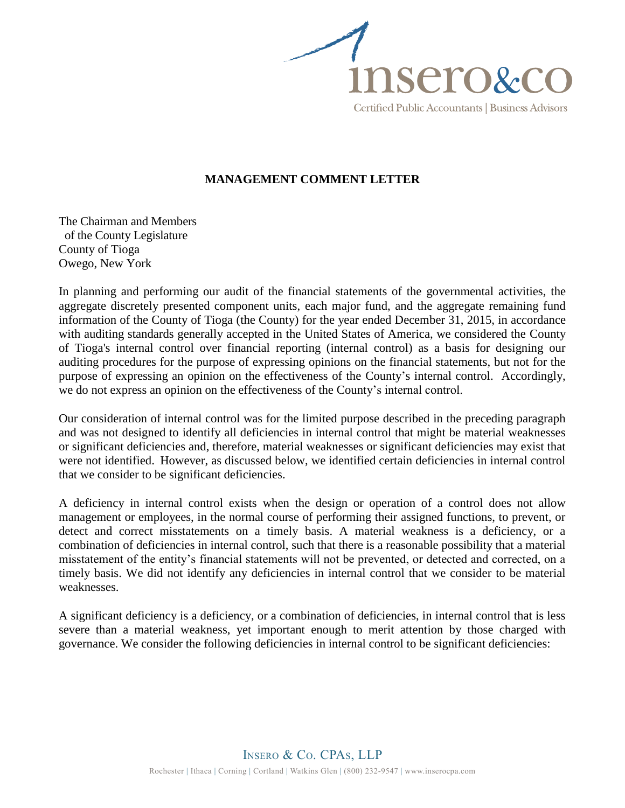

## **MANAGEMENT COMMENT LETTER**

The Chairman and Members of the County Legislature County of Tioga Owego, New York

In planning and performing our audit of the financial statements of the governmental activities, the aggregate discretely presented component units, each major fund, and the aggregate remaining fund information of the County of Tioga (the County) for the year ended December 31, 2015, in accordance with auditing standards generally accepted in the United States of America, we considered the County of Tioga's internal control over financial reporting (internal control) as a basis for designing our auditing procedures for the purpose of expressing opinions on the financial statements, but not for the purpose of expressing an opinion on the effectiveness of the County's internal control. Accordingly, we do not express an opinion on the effectiveness of the County's internal control.

Our consideration of internal control was for the limited purpose described in the preceding paragraph and was not designed to identify all deficiencies in internal control that might be material weaknesses or significant deficiencies and, therefore, material weaknesses or significant deficiencies may exist that were not identified. However, as discussed below, we identified certain deficiencies in internal control that we consider to be significant deficiencies.

A deficiency in internal control exists when the design or operation of a control does not allow management or employees, in the normal course of performing their assigned functions, to prevent, or detect and correct misstatements on a timely basis. A material weakness is a deficiency, or a combination of deficiencies in internal control, such that there is a reasonable possibility that a material misstatement of the entity's financial statements will not be prevented, or detected and corrected, on a timely basis. We did not identify any deficiencies in internal control that we consider to be material weaknesses.

A significant deficiency is a deficiency, or a combination of deficiencies, in internal control that is less severe than a material weakness, yet important enough to merit attention by those charged with governance. We consider the following deficiencies in internal control to be significant deficiencies: